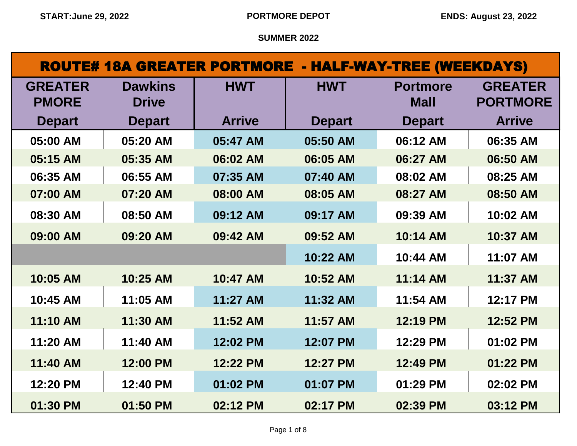# ROUTE# 18A GREATER PORTMORE - HALF-WAY-TREE (WEEKDAYS)

| <b>GREATER</b> | <b>Dawkins</b> | <b>HWT</b>    | <b>HWT</b>    | <b>Portmore</b> | <b>GREATER</b>  |
|----------------|----------------|---------------|---------------|-----------------|-----------------|
| <b>PMORE</b>   | <b>Drive</b>   |               |               | <b>Mall</b>     | <b>PORTMORE</b> |
| <b>Depart</b>  | <b>Depart</b>  | <b>Arrive</b> | <b>Depart</b> | <b>Depart</b>   | <b>Arrive</b>   |
| 05:00 AM       | 05:20 AM       | 05:47 AM      | 05:50 AM      | 06:12 AM        | 06:35 AM        |
| 05:15 AM       | 05:35 AM       | 06:02 AM      | 06:05 AM      | 06:27 AM        | 06:50 AM        |
| 06:35 AM       | 06:55 AM       | 07:35 AM      | 07:40 AM      | 08:02 AM        | 08:25 AM        |
| 07:00 AM       | 07:20 AM       | 08:00 AM      | 08:05 AM      | 08:27 AM        | 08:50 AM        |
| 08:30 AM       | 08:50 AM       | 09:12 AM      | 09:17 AM      | 09:39 AM        | 10:02 AM        |
| 09:00 AM       | 09:20 AM       | 09:42 AM      | 09:52 AM      | 10:14 AM        | 10:37 AM        |
|                |                |               | 10:22 AM      | 10:44 AM        | 11:07 AM        |
| 10:05 AM       | 10:25 AM       | 10:47 AM      | 10:52 AM      | 11:14 AM        | 11:37 AM        |
| 10:45 AM       | 11:05 AM       | 11:27 AM      | 11:32 AM      | 11:54 AM        | 12:17 PM        |
| 11:10 AM       | 11:30 AM       | 11:52 AM      | 11:57 AM      | 12:19 PM        | 12:52 PM        |
| 11:20 AM       | 11:40 AM       | 12:02 PM      | 12:07 PM      | 12:29 PM        | 01:02 PM        |
| 11:40 AM       | 12:00 PM       | 12:22 PM      | 12:27 PM      | 12:49 PM        | 01:22 PM        |
| 12:20 PM       | 12:40 PM       | 01:02 PM      | 01:07 PM      | 01:29 PM        | 02:02 PM        |
| 01:30 PM       | 01:50 PM       | 02:12 PM      | 02:17 PM      | 02:39 PM        | 03:12 PM        |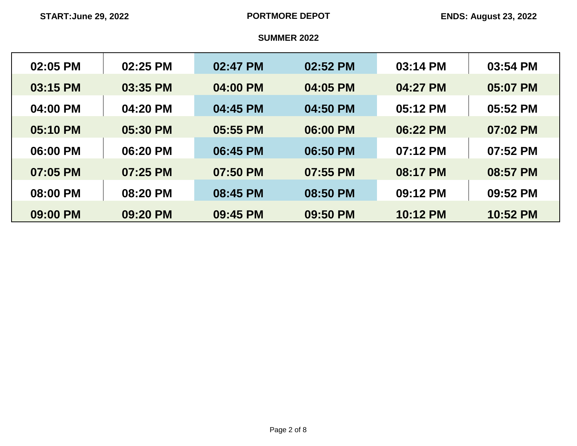| 02:05 PM | 02:25 PM | 02:47 PM | 02:52 PM | 03:14 PM | 03:54 PM |
|----------|----------|----------|----------|----------|----------|
| 03:15 PM | 03:35 PM | 04:00 PM | 04:05 PM | 04:27 PM | 05:07 PM |
| 04:00 PM | 04:20 PM | 04:45 PM | 04:50 PM | 05:12 PM | 05:52 PM |
| 05:10 PM | 05:30 PM | 05:55 PM | 06:00 PM | 06:22 PM | 07:02 PM |
| 06:00 PM | 06:20 PM | 06:45 PM | 06:50 PM | 07:12 PM | 07:52 PM |
| 07:05 PM | 07:25 PM | 07:50 PM | 07:55 PM | 08:17 PM | 08:57 PM |
| 08:00 PM | 08:20 PM | 08:45 PM | 08:50 PM | 09:12 PM | 09:52 PM |
| 09:00 PM | 09:20 PM | 09:45 PM | 09:50 PM | 10:12 PM | 10:52 PM |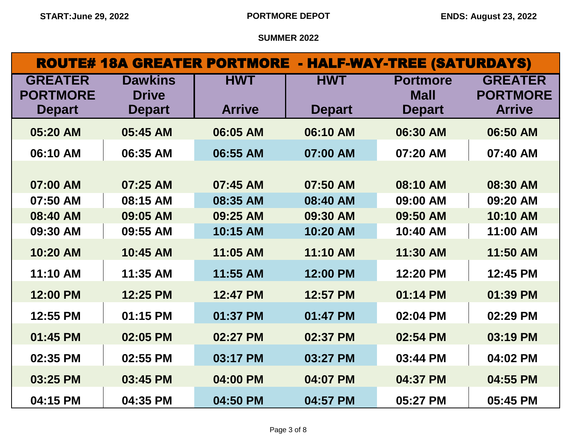|                                   | <b>ROUTE# 18A GREATER PORTMORE - HALF-WAY-TREE (SATURDAYS)</b> |               |               |                                |                                   |  |  |
|-----------------------------------|----------------------------------------------------------------|---------------|---------------|--------------------------------|-----------------------------------|--|--|
| <b>GREATER</b><br><b>PORTMORE</b> | <b>Dawkins</b><br><b>Drive</b>                                 | <b>HWT</b>    | <b>HWT</b>    | <b>Portmore</b><br><b>Mall</b> | <b>GREATER</b><br><b>PORTMORE</b> |  |  |
| <b>Depart</b>                     | <b>Depart</b>                                                  | <b>Arrive</b> | <b>Depart</b> | <b>Depart</b>                  | <b>Arrive</b>                     |  |  |
| 05:20 AM                          | 05:45 AM                                                       | 06:05 AM      | 06:10 AM      | 06:30 AM                       | 06:50 AM                          |  |  |
| 06:10 AM                          | 06:35 AM                                                       | 06:55 AM      | 07:00 AM      | 07:20 AM                       | 07:40 AM                          |  |  |
|                                   |                                                                |               |               |                                |                                   |  |  |
| 07:00 AM                          | 07:25 AM                                                       | 07:45 AM      | 07:50 AM      | 08:10 AM                       | 08:30 AM                          |  |  |
| 07:50 AM                          | 08:15 AM                                                       | 08:35 AM      | 08:40 AM      | 09:00 AM                       | 09:20 AM                          |  |  |
| 08:40 AM                          | 09:05 AM                                                       | 09:25 AM      | 09:30 AM      | 09:50 AM                       | 10:10 AM                          |  |  |
| 09:30 AM                          | 09:55 AM                                                       | 10:15 AM      | 10:20 AM      | 10:40 AM                       | 11:00 AM                          |  |  |
| 10:20 AM                          | 10:45 AM                                                       | 11:05 AM      | 11:10 AM      | 11:30 AM                       | 11:50 AM                          |  |  |
| 11:10 AM                          | 11:35 AM                                                       | 11:55 AM      | 12:00 PM      | 12:20 PM                       | 12:45 PM                          |  |  |
| 12:00 PM                          | 12:25 PM                                                       | 12:47 PM      | 12:57 PM      | 01:14 PM                       | 01:39 PM                          |  |  |
| 12:55 PM                          | 01:15 PM                                                       | 01:37 PM      | 01:47 PM      | 02:04 PM                       | 02:29 PM                          |  |  |
| 01:45 PM                          | 02:05 PM                                                       | 02:27 PM      | 02:37 PM      | 02:54 PM                       | 03:19 PM                          |  |  |
| 02:35 PM                          | 02:55 PM                                                       | 03:17 PM      | 03:27 PM      | 03:44 PM                       | 04:02 PM                          |  |  |
| 03:25 PM                          | 03:45 PM                                                       | 04:00 PM      | 04:07 PM      | 04:37 PM                       | 04:55 PM                          |  |  |
| 04:15 PM                          | 04:35 PM                                                       | 04:50 PM      | 04:57 PM      | 05:27 PM                       | 05:45 PM                          |  |  |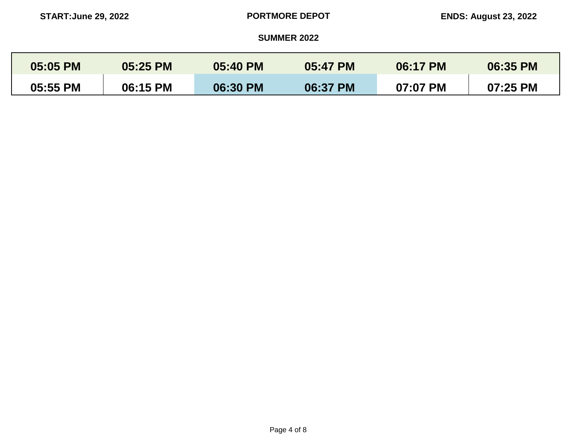| 05:05 PM | 05:25 PM | 05:40 PM | 05:47 PM | 06:17 PM | 06:35 PM |
|----------|----------|----------|----------|----------|----------|
| 05:55 PM | 06:15 PM | 06:30 PM | 06:37 PM | 07:07 PM | 07:25 PM |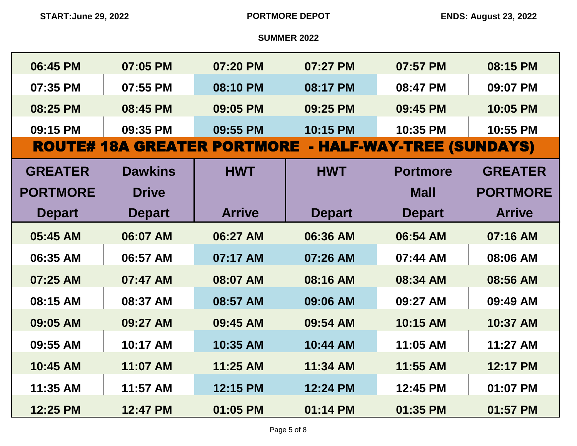| 06:45 PM        | 07:05 PM       | 07:20 PM                           | 07:27 PM      | 07:57 PM                  | 08:15 PM        |
|-----------------|----------------|------------------------------------|---------------|---------------------------|-----------------|
| 07:35 PM        | 07:55 PM       | 08:10 PM                           | 08:17 PM      | 08:47 PM                  | 09:07 PM        |
| 08:25 PM        | 08:45 PM       | 09:05 PM                           | 09:25 PM      | 09:45 PM                  | 10:05 PM        |
| 09:15 PM        | 09:35 PM       | 09:55 PM                           | 10:15 PM      | 10:35 PM                  | 10:55 PM        |
|                 |                | <b>ROUTE# 18A GREATER PORTMORE</b> |               | - HALF-WAY-TREE (SUNDAYS) |                 |
| <b>GREATER</b>  | <b>Dawkins</b> | <b>HWT</b>                         | <b>HWT</b>    | <b>Portmore</b>           | <b>GREATER</b>  |
| <b>PORTMORE</b> | <b>Drive</b>   |                                    |               | <b>Mall</b>               | <b>PORTMORE</b> |
| <b>Depart</b>   | <b>Depart</b>  | <b>Arrive</b>                      | <b>Depart</b> | <b>Depart</b>             | <b>Arrive</b>   |
| 05:45 AM        | 06:07 AM       | 06:27 AM                           | 06:36 AM      | 06:54 AM                  | 07:16 AM        |
| 06:35 AM        | 06:57 AM       | 07:17 AM                           | 07:26 AM      | 07:44 AM                  | 08:06 AM        |
| 07:25 AM        | 07:47 AM       | 08:07 AM                           | 08:16 AM      | 08:34 AM                  | 08:56 AM        |
| 08:15 AM        | 08:37 AM       | 08:57 AM                           | 09:06 AM      | 09:27 AM                  | 09:49 AM        |
| 09:05 AM        | 09:27 AM       | 09:45 AM                           | 09:54 AM      | 10:15 AM                  | 10:37 AM        |
| 09:55 AM        | 10:17 AM       | 10:35 AM                           | 10:44 AM      | 11:05 AM                  | 11:27 AM        |
| 10:45 AM        | 11:07 AM       | 11:25 AM                           | 11:34 AM      | 11:55 AM                  | 12:17 PM        |
| 11:35 AM        | 11:57 AM       | 12:15 PM                           | 12:24 PM      | 12:45 PM                  | 01:07 PM        |
| 12:25 PM        | 12:47 PM       | 01:05 PM                           | 01:14 PM      | 01:35 PM                  | 01:57 PM        |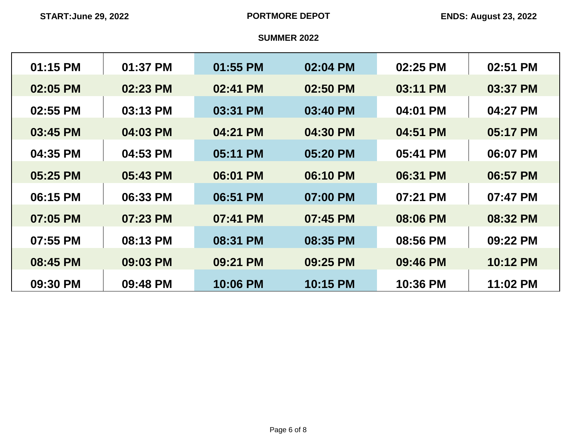| 01:15 PM | 01:37 PM | 01:55 PM | 02:04 PM | 02:25 PM | 02:51 PM |
|----------|----------|----------|----------|----------|----------|
| 02:05 PM | 02:23 PM | 02:41 PM | 02:50 PM | 03:11 PM | 03:37 PM |
| 02:55 PM | 03:13 PM | 03:31 PM | 03:40 PM | 04:01 PM | 04:27 PM |
| 03:45 PM | 04:03 PM | 04:21 PM | 04:30 PM | 04:51 PM | 05:17 PM |
| 04:35 PM | 04:53 PM | 05:11 PM | 05:20 PM | 05:41 PM | 06:07 PM |
| 05:25 PM | 05:43 PM | 06:01 PM | 06:10 PM | 06:31 PM | 06:57 PM |
| 06:15 PM | 06:33 PM | 06:51 PM | 07:00 PM | 07:21 PM | 07:47 PM |
| 07:05 PM | 07:23 PM | 07:41 PM | 07:45 PM | 08:06 PM | 08:32 PM |
| 07:55 PM | 08:13 PM | 08:31 PM | 08:35 PM | 08:56 PM | 09:22 PM |
| 08:45 PM | 09:03 PM | 09:21 PM | 09:25 PM | 09:46 PM | 10:12 PM |
| 09:30 PM | 09:48 PM | 10:06 PM | 10:15 PM | 10:36 PM | 11:02 PM |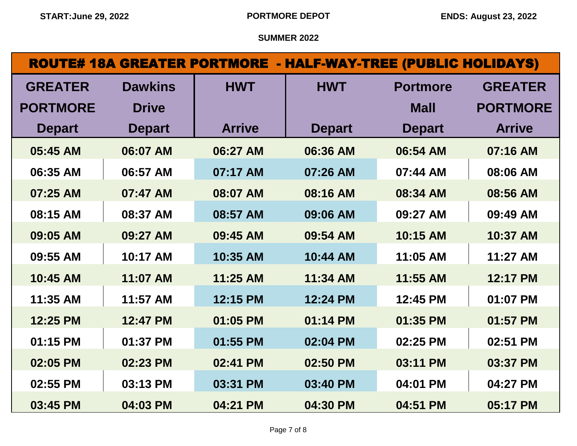|                 |                | <b>ROUTE# 18A GREATER PORTMORE - HALF-WAY-TREE (PUBLIC HOLIDAYS)</b> |               |                 |                 |
|-----------------|----------------|----------------------------------------------------------------------|---------------|-----------------|-----------------|
| <b>GREATER</b>  | <b>Dawkins</b> | <b>HWT</b>                                                           | <b>HWT</b>    | <b>Portmore</b> | <b>GREATER</b>  |
| <b>PORTMORE</b> | <b>Drive</b>   |                                                                      |               | <b>Mall</b>     | <b>PORTMORE</b> |
| <b>Depart</b>   | <b>Depart</b>  | <b>Arrive</b>                                                        | <b>Depart</b> | <b>Depart</b>   | <b>Arrive</b>   |
| 05:45 AM        | 06:07 AM       | 06:27 AM                                                             | 06:36 AM      | 06:54 AM        | 07:16 AM        |
| 06:35 AM        | 06:57 AM       | 07:17 AM                                                             | 07:26 AM      | 07:44 AM        | 08:06 AM        |
| 07:25 AM        | 07:47 AM       | 08:07 AM                                                             | 08:16 AM      | 08:34 AM        | 08:56 AM        |
| 08:15 AM        | 08:37 AM       | 08:57 AM                                                             | 09:06 AM      | 09:27 AM        | 09:49 AM        |
| 09:05 AM        | 09:27 AM       | 09:45 AM                                                             | 09:54 AM      | 10:15 AM        | 10:37 AM        |
| 09:55 AM        | 10:17 AM       | 10:35 AM                                                             | 10:44 AM      | 11:05 AM        | 11:27 AM        |
| 10:45 AM        | 11:07 AM       | 11:25 AM                                                             | 11:34 AM      | 11:55 AM        | 12:17 PM        |
| 11:35 AM        | 11:57 AM       | 12:15 PM                                                             | 12:24 PM      | 12:45 PM        | 01:07 PM        |
| 12:25 PM        | 12:47 PM       | 01:05 PM                                                             | 01:14 PM      | 01:35 PM        | 01:57 PM        |
| 01:15 PM        | 01:37 PM       | 01:55 PM                                                             | 02:04 PM      | 02:25 PM        | 02:51 PM        |
| 02:05 PM        | 02:23 PM       | 02:41 PM                                                             | 02:50 PM      | 03:11 PM        | 03:37 PM        |
| 02:55 PM        | 03:13 PM       | 03:31 PM                                                             | 03:40 PM      | 04:01 PM        | 04:27 PM        |
| 03:45 PM        | 04:03 PM       | 04:21 PM                                                             | 04:30 PM      | 04:51 PM        | 05:17 PM        |